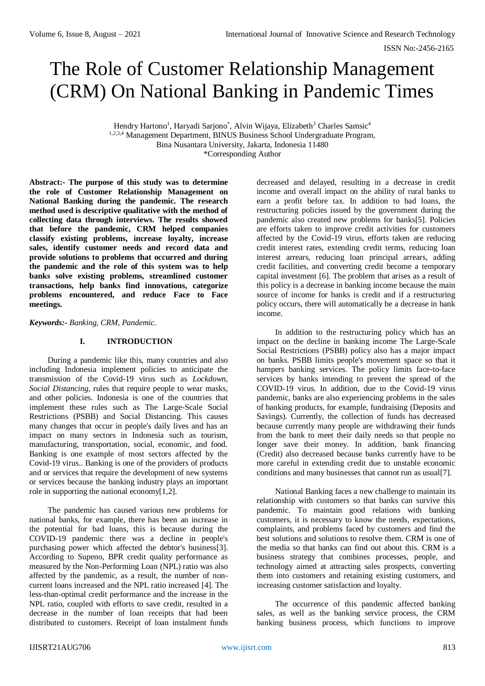# The Role of Customer Relationship Management (CRM) On National Banking in Pandemic Times

Hendry Hartono<sup>1</sup>, Haryadi Sarjono<sup>\*</sup>, Alvin Wijaya, Elizabeth<sup>3</sup> Charles Samsic<sup>4</sup> 1,2,3,4 Management Department, BINUS Business School Undergraduate Program, Bina Nusantara University, Jakarta, Indonesia 11480 \*Corresponding Author

**Abstract:- The purpose of this study was to determine the role of Customer Relationship Management on National Banking during the pandemic. The research method used is descriptive qualitative with the method of collecting data through interviews. The results showed that before the pandemic, CRM helped companies classify existing problems, increase loyalty, increase sales, identify customer needs and record data and provide solutions to problems that occurred and during the pandemic and the role of this system was to help banks solve existing problems, streamlined customer transactions, help banks find innovations, categorize problems encountered, and reduce Face to Face meetings.**

*Keywords:- Banking, CRM, Pandemic.*

# **I. INTRODUCTION**

During a pandemic like this, many countries and also including Indonesia implement policies to anticipate the transmission of the Covid-19 virus such as *Lockdown, Social Distancing*, rules that require people to wear masks, and other policies. Indonesia is one of the countries that implement these rules such as The Large-Scale Social Restrictions (PSBB) and Social Distancing. This causes many changes that occur in people's daily lives and has an impact on many sectors in Indonesia such as tourism, manufacturing, transportation, social, economic, and food. Banking is one example of most sectors affected by the Covid-19 virus.. Banking is one of the providers of products and or services that require the development of new systems or services because the banking industry plays an important role in supporting the national economy[1,2].

The pandemic has caused various new problems for national banks, for example, there has been an increase in the potential for bad loans, this is because during the COVID-19 pandemic there was a decline in people's purchasing power which affected the debtor's business[3]. According to Supeno, BPR credit quality performance as measured by the Non-Performing Loan (NPL) ratio was also affected by the pandemic, as a result, the number of noncurrent loans increased and the NPL ratio increased [4]. The less-than-optimal credit performance and the increase in the NPL ratio, coupled with efforts to save credit, resulted in a decrease in the number of loan receipts that had been distributed to customers. Receipt of loan instalment funds

decreased and delayed, resulting in a decrease in credit income and overall impact on the ability of rural banks to earn a profit before tax. In addition to bad loans, the restructuring policies issued by the government during the pandemic also created new problems for banks[5]. Policies are efforts taken to improve credit activities for customers affected by the Covid-19 virus, efforts taken are reducing credit interest rates, extending credit terms, reducing loan interest arrears, reducing loan principal arrears, adding credit facilities, and converting credit become a temporary capital investment [6]. The problem that arises as a result of this policy is a decrease in banking income because the main source of income for banks is credit and if a restructuring policy occurs, there will automatically be a decrease in bank income.

In addition to the restructuring policy which has an impact on the decline in banking income The Large-Scale Social Restrictions (PSBB) policy also has a major impact on banks. PSBB limits people's movement space so that it hampers banking services. The policy limits face-to-face services by banks intending to prevent the spread of the COVID-19 virus. In addition, due to the Covid-19 virus pandemic, banks are also experiencing problems in the sales of banking products, for example, fundraising (Deposits and Savings). Currently, the collection of funds has decreased because currently many people are withdrawing their funds from the bank to meet their daily needs so that people no longer save their money. In addition, bank financing (Credit) also decreased because banks currently have to be more careful in extending credit due to unstable economic conditions and many businesses that cannot run as usual[7].

National Banking faces a new challenge to maintain its relationship with customers so that banks can survive this pandemic. To maintain good relations with banking customers, it is necessary to know the needs, expectations, complaints, and problems faced by customers and find the best solutions and solutions to resolve them. CRM is one of the media so that banks can find out about this. CRM is a business strategy that combines processes, people, and technology aimed at attracting sales prospects, converting them into customers and retaining existing customers, and increasing customer satisfaction and loyalty.

The occurrence of this pandemic affected banking sales, as well as the banking service process, the CRM banking business process, which functions to improve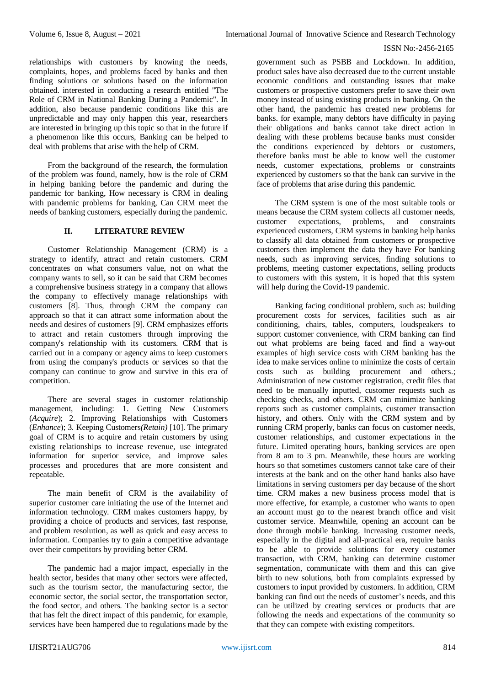relationships with customers by knowing the needs, complaints, hopes, and problems faced by banks and then finding solutions or solutions based on the information obtained. interested in conducting a research entitled "The Role of CRM in National Banking During a Pandemic". In addition, also because pandemic conditions like this are unpredictable and may only happen this year, researchers are interested in bringing up this topic so that in the future if a phenomenon like this occurs, Banking can be helped to deal with problems that arise with the help of CRM.

From the background of the research, the formulation of the problem was found, namely, how is the role of CRM in helping banking before the pandemic and during the pandemic for banking, How necessary is CRM in dealing with pandemic problems for banking, Can CRM meet the needs of banking customers, especially during the pandemic.

# **II. LITERATURE REVIEW**

Customer Relationship Management (CRM) is a strategy to identify, attract and retain customers. CRM concentrates on what consumers value, not on what the company wants to sell, so it can be said that CRM becomes a comprehensive business strategy in a company that allows the company to effectively manage relationships with customers [8]. Thus, through CRM the company can approach so that it can attract some information about the needs and desires of customers [9]. CRM emphasizes efforts to attract and retain customers through improving the company's relationship with its customers. CRM that is carried out in a company or agency aims to keep customers from using the company's products or services so that the company can continue to grow and survive in this era of competition.

There are several stages in customer relationship management, including: 1. Getting New Customers (*Acquire*); 2. Improving Relationships with Customers (*Enhance*); 3. Keeping Customers*(Retain)* [10]. The primary goal of CRM is to acquire and retain customers by using existing relationships to increase revenue, use integrated information for superior service, and improve sales processes and procedures that are more consistent and repeatable.

The main benefit of CRM is the availability of superior customer care initiating the use of the Internet and information technology. CRM makes customers happy, by providing a choice of products and services, fast response, and problem resolution, as well as quick and easy access to information. Companies try to gain a competitive advantage over their competitors by providing better CRM.

The pandemic had a major impact, especially in the health sector, besides that many other sectors were affected, such as the tourism sector, the manufacturing sector, the economic sector, the social sector, the transportation sector, the food sector, and others. The banking sector is a sector that has felt the direct impact of this pandemic, for example, services have been hampered due to regulations made by the

government such as PSBB and Lockdown. In addition, product sales have also decreased due to the current unstable economic conditions and outstanding issues that make customers or prospective customers prefer to save their own money instead of using existing products in banking. On the other hand, the pandemic has created new problems for banks. for example, many debtors have difficulty in paying their obligations and banks cannot take direct action in dealing with these problems because banks must consider the conditions experienced by debtors or customers, therefore banks must be able to know well the customer needs, customer expectations, problems or constraints experienced by customers so that the bank can survive in the face of problems that arise during this pandemic.

The CRM system is one of the most suitable tools or means because the CRM system collects all customer needs, customer expectations, problems, and constraints experienced customers, CRM systems in banking help banks to classify all data obtained from customers or prospective customers then implement the data they have For banking needs, such as improving services, finding solutions to problems, meeting customer expectations, selling products to customers with this system, it is hoped that this system will help during the Covid-19 pandemic.

Banking facing conditional problem, such as: building procurement costs for services, facilities such as air conditioning, chairs, tables, computers, loudspeakers to support customer convenience, with CRM banking can find out what problems are being faced and find a way-out examples of high service costs with CRM banking has the idea to make services online to minimize the costs of certain costs such as building procurement and others.; Administration of new customer registration, credit files that need to be manually inputted, customer requests such as checking checks, and others. CRM can minimize banking reports such as customer complaints, customer transaction history, and others. Only with the CRM system and by running CRM properly, banks can focus on customer needs, customer relationships, and customer expectations in the future. Limited operating hours, banking services are open from 8 am to 3 pm. Meanwhile, these hours are working hours so that sometimes customers cannot take care of their interests at the bank and on the other hand banks also have limitations in serving customers per day because of the short time. CRM makes a new business process model that is more effective, for example, a customer who wants to open an account must go to the nearest branch office and visit customer service. Meanwhile, opening an account can be done through mobile banking. Increasing customer needs, especially in the digital and all-practical era, require banks to be able to provide solutions for every customer transaction, with CRM, banking can determine customer segmentation, communicate with them and this can give birth to new solutions, both from complaints expressed by customers to input provided by customers. In addition, CRM banking can find out the needs of customer's needs, and this can be utilized by creating services or products that are following the needs and expectations of the community so that they can compete with existing competitors.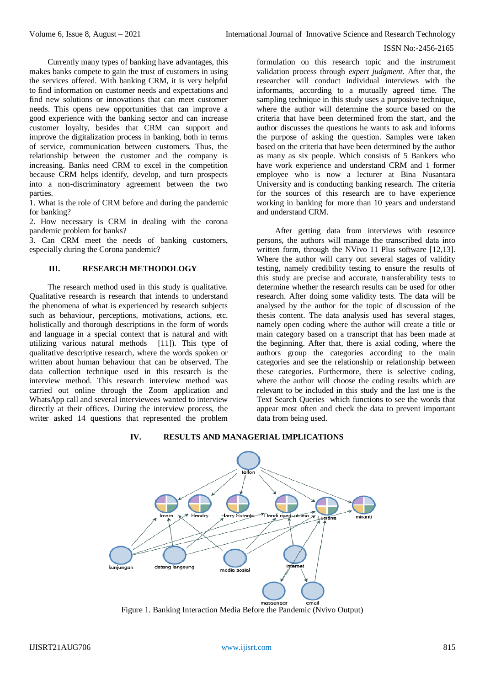Currently many types of banking have advantages, this makes banks compete to gain the trust of customers in using the services offered. With banking CRM, it is very helpful to find information on customer needs and expectations and find new solutions or innovations that can meet customer needs. This opens new opportunities that can improve a good experience with the banking sector and can increase customer loyalty, besides that CRM can support and improve the digitalization process in banking, both in terms of service, communication between customers. Thus, the relationship between the customer and the company is increasing. Banks need CRM to excel in the competition because CRM helps identify, develop, and turn prospects into a non-discriminatory agreement between the two parties.

1. What is the role of CRM before and during the pandemic for banking?

2. How necessary is CRM in dealing with the corona pandemic problem for banks?

3. Can CRM meet the needs of banking customers, especially during the Corona pandemic?

# **III. RESEARCH METHODOLOGY**

The research method used in this study is qualitative. Qualitative research is research that intends to understand the phenomena of what is experienced by research subjects such as behaviour, perceptions, motivations, actions, etc. holistically and thorough descriptions in the form of words and language in a special context that is natural and with utilizing various natural methods [11]). This type of qualitative descriptive research, where the words spoken or written about human behaviour that can be observed. The data collection technique used in this research is the interview method. This research interview method was carried out online through the Zoom application and WhatsApp call and several interviewees wanted to interview directly at their offices. During the interview process, the writer asked 14 questions that represented the problem

formulation on this research topic and the instrument validation process through *expert judgment*. After that, the researcher will conduct individual interviews with the informants, according to a mutually agreed time. The sampling technique in this study uses a purposive technique, where the author will determine the source based on the criteria that have been determined from the start, and the author discusses the questions he wants to ask and informs the purpose of asking the question. Samples were taken based on the criteria that have been determined by the author as many as six people. Which consists of 5 Bankers who have work experience and understand CRM and 1 former employee who is now a lecturer at Bina Nusantara University and is conducting banking research. The criteria for the sources of this research are to have experience working in banking for more than 10 years and understand and understand CRM.

After getting data from interviews with resource persons, the authors will manage the transcribed data into written form, through the NVivo 11 Plus software [12,13]. Where the author will carry out several stages of validity testing, namely credibility testing to ensure the results of this study are precise and accurate, transferability tests to determine whether the research results can be used for other research. After doing some validity tests. The data will be analysed by the author for the topic of discussion of the thesis content. The data analysis used has several stages, namely open coding where the author will create a title or main category based on a transcript that has been made at the beginning. After that, there is axial coding, where the authors group the categories according to the main categories and see the relationship or relationship between these categories. Furthermore, there is selective coding, where the author will choose the coding results which are relevant to be included in this study and the last one is the Text Search Queries which functions to see the words that appear most often and check the data to prevent important data from being used.



# **IV. RESULTS AND MANAGERIAL IMPLICATIONS**

Figure 1. Banking Interaction Media Before the Pandemic (Nvivo Output)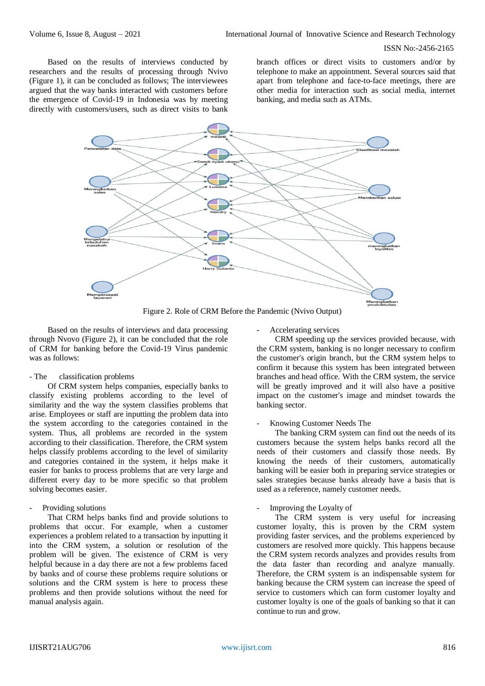Based on the results of interviews conducted by researchers and the results of processing through Nvivo (Figure 1), it can be concluded as follows; The interviewees argued that the way banks interacted with customers before the emergence of Covid-19 in Indonesia was by meeting directly with customers/users, such as direct visits to bank

branch offices or direct visits to customers and/or by telephone to make an appointment. Several sources said that apart from telephone and face-to-face meetings, there are other media for interaction such as social media, internet banking, and media such as ATMs.



Figure 2. Role of CRM Before the Pandemic (Nvivo Output)

Based on the results of interviews and data processing through Nvovo (Figure 2), it can be concluded that the role of CRM for banking before the Covid-19 Virus pandemic was as follows:

#### - The classification problems

Of CRM system helps companies, especially banks to classify existing problems according to the level of similarity and the way the system classifies problems that arise. Employees or staff are inputting the problem data into the system according to the categories contained in the system. Thus, all problems are recorded in the system according to their classification. Therefore, the CRM system helps classify problems according to the level of similarity and categories contained in the system, it helps make it easier for banks to process problems that are very large and different every day to be more specific so that problem solving becomes easier.

# - Providing solutions

That CRM helps banks find and provide solutions to problems that occur. For example, when a customer experiences a problem related to a transaction by inputting it into the CRM system, a solution or resolution of the problem will be given. The existence of CRM is very helpful because in a day there are not a few problems faced by banks and of course these problems require solutions or solutions and the CRM system is here to process these problems and then provide solutions without the need for manual analysis again.

- Accelerating services

CRM speeding up the services provided because, with the CRM system, banking is no longer necessary to confirm the customer's origin branch, but the CRM system helps to confirm it because this system has been integrated between branches and head office. With the CRM system, the service will be greatly improved and it will also have a positive impact on the customer's image and mindset towards the banking sector.

#### Knowing Customer Needs The

The banking CRM system can find out the needs of its customers because the system helps banks record all the needs of their customers and classify those needs. By knowing the needs of their customers, automatically banking will be easier both in preparing service strategies or sales strategies because banks already have a basis that is used as a reference, namely customer needs.

# - Improving the Loyalty of

The CRM system is very useful for increasing customer loyalty, this is proven by the CRM system providing faster services, and the problems experienced by customers are resolved more quickly. This happens because the CRM system records analyzes and provides results from the data faster than recording and analyze manually. Therefore, the CRM system is an indispensable system for banking because the CRM system can increase the speed of service to customers which can form customer loyalty and customer loyalty is one of the goals of banking so that it can continue to run and grow.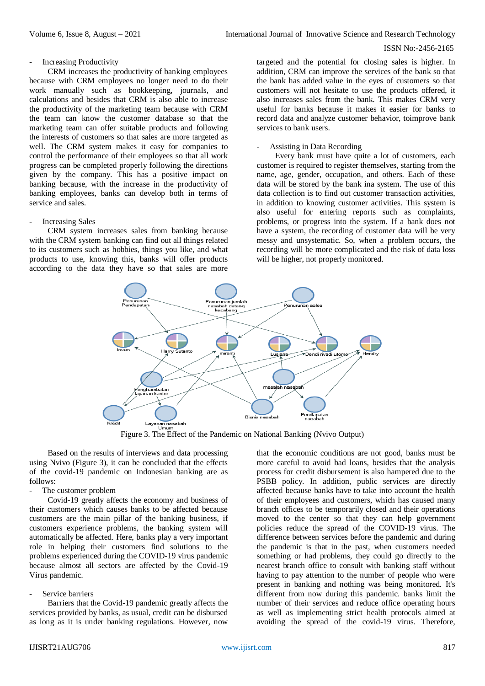## - Increasing Productivity

CRM increases the productivity of banking employees because with CRM employees no longer need to do their work manually such as bookkeeping, journals, and calculations and besides that CRM is also able to increase the productivity of the marketing team because with CRM the team can know the customer database so that the marketing team can offer suitable products and following the interests of customers so that sales are more targeted as well. The CRM system makes it easy for companies to control the performance of their employees so that all work progress can be completed properly following the directions given by the company. This has a positive impact on banking because, with the increase in the productivity of banking employees, banks can develop both in terms of service and sales.

#### Increasing Sales

CRM system increases sales from banking because with the CRM system banking can find out all things related to its customers such as hobbies, things you like, and what products to use, knowing this, banks will offer products according to the data they have so that sales are more

targeted and the potential for closing sales is higher. In addition, CRM can improve the services of the bank so that the bank has added value in the eyes of customers so that customers will not hesitate to use the products offered, it also increases sales from the bank. This makes CRM very useful for banks because it makes it easier for banks to record data and analyze customer behavior, toimprove bank services to bank users.

# - Assisting in Data Recording

Every bank must have quite a lot of customers, each customer is required to register themselves, starting from the name, age, gender, occupation, and others. Each of these data will be stored by the bank ina system. The use of this data collection is to find out customer transaction activities, in addition to knowing customer activities. This system is also useful for entering reports such as complaints, problems, or progress into the system. If a bank does not have a system, the recording of customer data will be very messy and unsystematic. So, when a problem occurs, the recording will be more complicated and the risk of data loss will be higher, not properly monitored.



Figure 3. The Effect of the Pandemic on National Banking (Nvivo Output)

Based on the results of interviews and data processing using Nvivo (Figure 3), it can be concluded that the effects of the covid-19 pandemic on Indonesian banking are as follows:

# The customer problem

Covid-19 greatly affects the economy and business of their customers which causes banks to be affected because customers are the main pillar of the banking business, if customers experience problems, the banking system will automatically be affected. Here, banks play a very important role in helping their customers find solutions to the problems experienced during the COVID-19 virus pandemic because almost all sectors are affected by the Covid-19 Virus pandemic.

# Service barriers

Barriers that the Covid-19 pandemic greatly affects the services provided by banks, as usual, credit can be disbursed as long as it is under banking regulations. However, now

that the economic conditions are not good, banks must be more careful to avoid bad loans, besides that the analysis process for credit disbursement is also hampered due to the PSBB policy. In addition, public services are directly affected because banks have to take into account the health of their employees and customers, which has caused many branch offices to be temporarily closed and their operations moved to the center so that they can help government policies reduce the spread of the COVID-19 virus. The difference between services before the pandemic and during the pandemic is that in the past, when customers needed something or had problems, they could go directly to the nearest branch office to consult with banking staff without having to pay attention to the number of people who were present in banking and nothing was being monitored. It's different from now during this pandemic. banks limit the number of their services and reduce office operating hours as well as implementing strict health protocols aimed at avoiding the spread of the covid-19 virus. Therefore,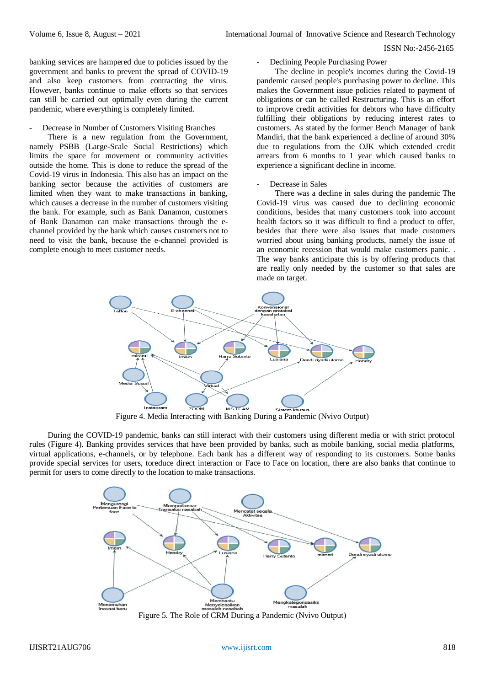banking services are hampered due to policies issued by the government and banks to prevent the spread of COVID-19 and also keep customers from contracting the virus. However, banks continue to make efforts so that services can still be carried out optimally even during the current pandemic, where everything is completely limited.

#### Decrease in Number of Customers Visiting Branches

There is a new regulation from the Government, namely PSBB (Large-Scale Social Restrictions) which limits the space for movement or community activities outside the home. This is done to reduce the spread of the Covid-19 virus in Indonesia. This also has an impact on the banking sector because the activities of customers are limited when they want to make transactions in banking, which causes a decrease in the number of customers visiting the bank. For example, such as Bank Danamon, customers of Bank Danamon can make transactions through the echannel provided by the bank which causes customers not to need to visit the bank, because the e-channel provided is complete enough to meet customer needs.

## Declining People Purchasing Power

The decline in people's incomes during the Covid-19 pandemic caused people's purchasing power to decline. This makes the Government issue policies related to payment of obligations or can be called Restructuring. This is an effort to improve credit activities for debtors who have difficulty fulfilling their obligations by reducing interest rates to customers. As stated by the former Bench Manager of bank Mandiri, that the bank experienced a decline of around 30% due to regulations from the OJK which extended credit arrears from 6 months to 1 year which caused banks to experience a significant decline in income.

#### Decrease in Sales

There was a decline in sales during the pandemic The Covid-19 virus was caused due to declining economic conditions, besides that many customers took into account health factors so it was difficult to find a product to offer, besides that there were also issues that made customers worried about using banking products, namely the issue of an economic recession that would make customers panic. . The way banks anticipate this is by offering products that are really only needed by the customer so that sales are made on target.



Figure 4. Media Interacting with Banking During a Pandemic (Nvivo Output)

During the COVID-19 pandemic, banks can still interact with their customers using different media or with strict protocol rules (Figure 4). Banking provides services that have been provided by banks, such as mobile banking, social media platforms, virtual applications, e-channels, or by telephone. Each bank has a different way of responding to its customers. Some banks provide special services for users, toreduce direct interaction or Face to Face on location, there are also banks that continue to permit for users to come directly to the location to make transactions.



Figure 5. The Role of CRM During a Pandemic (Nvivo Output)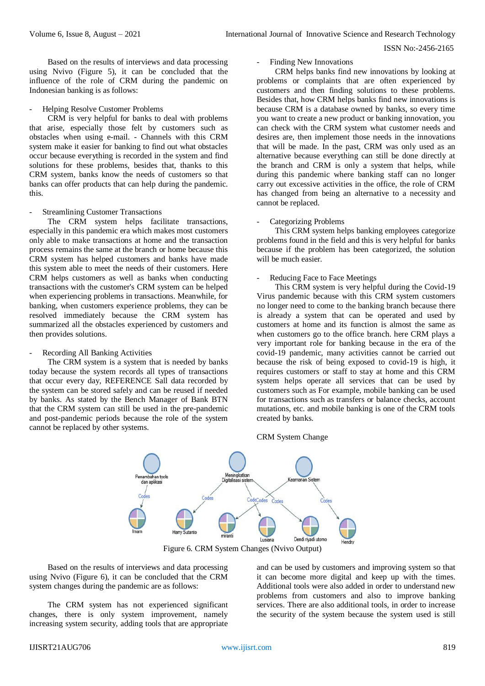Based on the results of interviews and data processing using Nvivo (Figure 5), it can be concluded that the influence of the role of CRM during the pandemic on Indonesian banking is as follows:

## - Helping Resolve Customer Problems

CRM is very helpful for banks to deal with problems that arise, especially those felt by customers such as obstacles when using e-mail. - Channels with this CRM system make it easier for banking to find out what obstacles occur because everything is recorded in the system and find solutions for these problems, besides that, thanks to this CRM system, banks know the needs of customers so that banks can offer products that can help during the pandemic. this.

#### **Streamlining Customer Transactions**

The CRM system helps facilitate transactions, especially in this pandemic era which makes most customers only able to make transactions at home and the transaction process remains the same at the branch or home because this CRM system has helped customers and banks have made this system able to meet the needs of their customers. Here CRM helps customers as well as banks when conducting transactions with the customer's CRM system can be helped when experiencing problems in transactions. Meanwhile, for banking, when customers experience problems, they can be resolved immediately because the CRM system has summarized all the obstacles experienced by customers and then provides solutions.

# - Recording All Banking Activities

The CRM system is a system that is needed by banks today because the system records all types of transactions that occur every day, REFERENCE Sall data recorded by the system can be stored safely and can be reused if needed by banks. As stated by the Bench Manager of Bank BTN that the CRM system can still be used in the pre-pandemic and post-pandemic periods because the role of the system cannot be replaced by other systems.

# Finding New Innovations

CRM helps banks find new innovations by looking at problems or complaints that are often experienced by customers and then finding solutions to these problems. Besides that, how CRM helps banks find new innovations is because CRM is a database owned by banks, so every time you want to create a new product or banking innovation, you can check with the CRM system what customer needs and desires are, then implement those needs in the innovations that will be made. In the past, CRM was only used as an alternative because everything can still be done directly at the branch and CRM is only a system that helps, while during this pandemic where banking staff can no longer carry out excessive activities in the office, the role of CRM has changed from being an alternative to a necessity and cannot be replaced.

#### Categorizing Problems

This CRM system helps banking employees categorize problems found in the field and this is very helpful for banks because if the problem has been categorized, the solution will be much easier.

#### Reducing Face to Face Meetings

This CRM system is very helpful during the Covid-19 Virus pandemic because with this CRM system customers no longer need to come to the banking branch because there is already a system that can be operated and used by customers at home and its function is almost the same as when customers go to the office branch. here CRM plays a very important role for banking because in the era of the covid-19 pandemic, many activities cannot be carried out because the risk of being exposed to covid-19 is high, it requires customers or staff to stay at home and this CRM system helps operate all services that can be used by customers such as For example, mobile banking can be used for transactions such as transfers or balance checks, account mutations, etc. and mobile banking is one of the CRM tools created by banks.





Figure 6. CRM System Changes (Nvivo Output)

Based on the results of interviews and data processing using Nvivo (Figure 6), it can be concluded that the CRM system changes during the pandemic are as follows:

The CRM system has not experienced significant changes, there is only system improvement, namely increasing system security, adding tools that are appropriate and can be used by customers and improving system so that it can become more digital and keep up with the times. Additional tools were also added in order to understand new problems from customers and also to improve banking services. There are also additional tools, in order to increase the security of the system because the system used is still